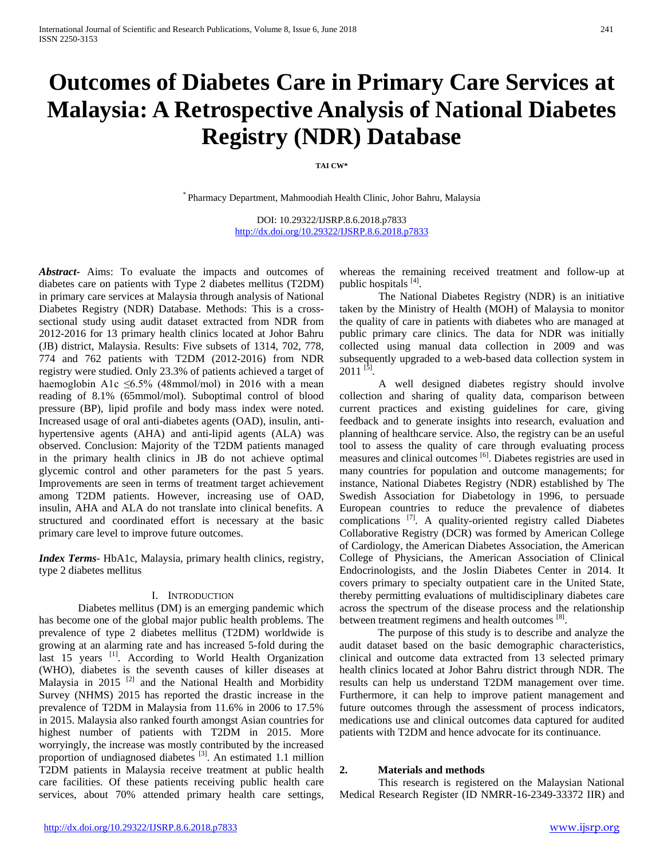# **Outcomes of Diabetes Care in Primary Care Services at Malaysia: A Retrospective Analysis of National Diabetes Registry (NDR) Database**

#### **TAI CW\***

\* Pharmacy Department, Mahmoodiah Health Clinic, Johor Bahru, Malaysia

DOI: 10.29322/IJSRP.8.6.2018.p7833 <http://dx.doi.org/10.29322/IJSRP.8.6.2018.p7833>

*Abstract***-** Aims: To evaluate the impacts and outcomes of diabetes care on patients with Type 2 diabetes mellitus (T2DM) in primary care services at Malaysia through analysis of National Diabetes Registry (NDR) Database. Methods: This is a crosssectional study using audit dataset extracted from NDR from 2012-2016 for 13 primary health clinics located at Johor Bahru (JB) district, Malaysia. Results: Five subsets of 1314, 702, 778, 774 and 762 patients with T2DM (2012-2016) from NDR registry were studied. Only 23.3% of patients achieved a target of haemoglobin A1c  $\leq 6.5\%$  (48mmol/mol) in 2016 with a mean reading of 8.1% (65mmol/mol). Suboptimal control of blood pressure (BP), lipid profile and body mass index were noted. Increased usage of oral anti-diabetes agents (OAD), insulin, antihypertensive agents (AHA) and anti-lipid agents (ALA) was observed. Conclusion: Majority of the T2DM patients managed in the primary health clinics in JB do not achieve optimal glycemic control and other parameters for the past 5 years. Improvements are seen in terms of treatment target achievement among T2DM patients. However, increasing use of OAD, insulin, AHA and ALA do not translate into clinical benefits. A structured and coordinated effort is necessary at the basic primary care level to improve future outcomes.

*Index Terms*- HbA1c, Malaysia, primary health clinics, registry, type 2 diabetes mellitus

#### I. INTRODUCTION

Diabetes mellitus (DM) is an emerging pandemic which has become one of the global major public health problems. The prevalence of type 2 diabetes mellitus (T2DM) worldwide is growing at an alarming rate and has increased 5-fold during the last  $15$  years  $^{[1]}$ . According to World Health Organization (WHO), diabetes is the seventh causes of killer diseases at Malaysia in 2015<sup>[2]</sup> and the National Health and Morbidity Survey (NHMS) 2015 has reported the drastic increase in the prevalence of T2DM in Malaysia from 11.6% in 2006 to 17.5% in 2015. Malaysia also ranked fourth amongst Asian countries for highest number of patients with T2DM in 2015. More worryingly, the increase was mostly contributed by the increased proportion of undiagnosed diabetes <sup>[3]</sup>. An estimated 1.1 million T2DM patients in Malaysia receive treatment at public health care facilities. Of these patients receiving public health care services, about 70% attended primary health care settings,

whereas the remaining received treatment and follow-up at public hospitals [4].

The National Diabetes Registry (NDR) is an initiative taken by the Ministry of Health (MOH) of Malaysia to monitor the quality of care in patients with diabetes who are managed at public primary care clinics. The data for NDR was initially collected using manual data collection in 2009 and was subsequently upgraded to a web-based data collection system in  $2011$ <sup>[5]</sup>.

A well designed diabetes registry should involve collection and sharing of quality data, comparison between current practices and existing guidelines for care, giving feedback and to generate insights into research, evaluation and planning of healthcare service. Also, the registry can be an useful tool to assess the quality of care through evaluating process measures and clinical outcomes [6]. Diabetes registries are used in many countries for population and outcome managements; for instance, National Diabetes Registry (NDR) established by The Swedish Association for Diabetology in 1996, to persuade European countries to reduce the prevalence of diabetes complications <sup>[7]</sup>. A quality-oriented registry called Diabetes Collaborative Registry (DCR) was formed by American College of Cardiology, the American Diabetes Association, the American College of Physicians, the American Association of Clinical Endocrinologists, and the Joslin Diabetes Center in 2014. It covers primary to specialty outpatient care in the United State, thereby permitting evaluations of multidisciplinary diabetes care across the spectrum of the disease process and the relationship between treatment regimens and health outcomes [8].

The purpose of this study is to describe and analyze the audit dataset based on the basic demographic characteristics, clinical and outcome data extracted from 13 selected primary health clinics located at Johor Bahru district through NDR. The results can help us understand T2DM management over time. Furthermore, it can help to improve patient management and future outcomes through the assessment of process indicators, medications use and clinical outcomes data captured for audited patients with T2DM and hence advocate for its continuance.

#### **2. Materials and methods**

This research is registered on the Malaysian National Medical Research Register (ID NMRR-16-2349-33372 IIR) and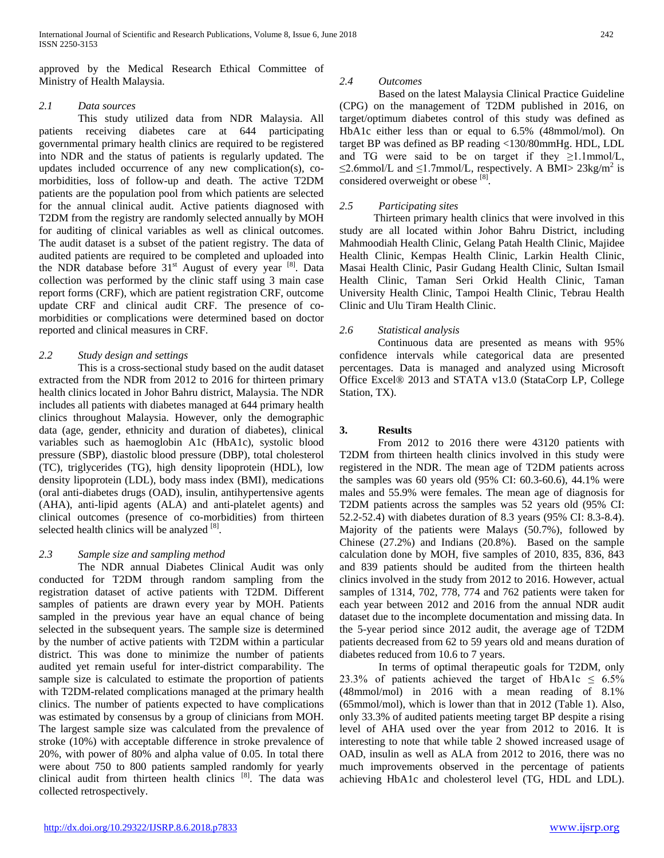approved by the Medical Research Ethical Committee of Ministry of Health Malaysia.

## *2.1 Data sources*

This study utilized data from NDR Malaysia. All patients receiving diabetes care at 644 participating governmental primary health clinics are required to be registered into NDR and the status of patients is regularly updated. The updates included occurrence of any new complication(s), comorbidities, loss of follow-up and death. The active T2DM patients are the population pool from which patients are selected for the annual clinical audit. Active patients diagnosed with T2DM from the registry are randomly selected annually by MOH for auditing of clinical variables as well as clinical outcomes. The audit dataset is a subset of the patient registry. The data of audited patients are required to be completed and uploaded into the NDR database before  $31<sup>st</sup>$  August of every year  $[8]$ . Data collection was performed by the clinic staff using 3 main case report forms (CRF), which are patient registration CRF, outcome update CRF and clinical audit CRF. The presence of comorbidities or complications were determined based on doctor reported and clinical measures in CRF.

# *2.2 Study design and settings*

This is a cross-sectional study based on the audit dataset extracted from the NDR from 2012 to 2016 for thirteen primary health clinics located in Johor Bahru district, Malaysia. The NDR includes all patients with diabetes managed at 644 primary health clinics throughout Malaysia. However, only the demographic data (age, gender, ethnicity and duration of diabetes), clinical variables such as haemoglobin A1c (HbA1c), systolic blood pressure (SBP), diastolic blood pressure (DBP), total cholesterol (TC), triglycerides (TG), high density lipoprotein (HDL), low density lipoprotein (LDL), body mass index (BMI), medications (oral anti-diabetes drugs (OAD), insulin, antihypertensive agents (AHA), anti-lipid agents (ALA) and anti-platelet agents) and clinical outcomes (presence of co-morbidities) from thirteen selected health clinics will be analyzed [8].

# *2.3 Sample size and sampling method*

The NDR annual Diabetes Clinical Audit was only conducted for T2DM through random sampling from the registration dataset of active patients with T2DM. Different samples of patients are drawn every year by MOH. Patients sampled in the previous year have an equal chance of being selected in the subsequent years. The sample size is determined by the number of active patients with T2DM within a particular district. This was done to minimize the number of patients audited yet remain useful for inter-district comparability. The sample size is calculated to estimate the proportion of patients with T2DM-related complications managed at the primary health clinics. The number of patients expected to have complications was estimated by consensus by a group of clinicians from MOH. The largest sample size was calculated from the prevalence of stroke (10%) with acceptable difference in stroke prevalence of 20%, with power of 80% and alpha value of 0.05. In total there were about 750 to 800 patients sampled randomly for yearly clinical audit from thirteen health clinics  $[8]$ . The data was collected retrospectively.

# *2.4 Outcomes*

Based on the latest Malaysia Clinical Practice Guideline (CPG) on the management of T2DM published in 2016, on target/optimum diabetes control of this study was defined as HbA1c either less than or equal to 6.5% (48mmol/mol). On target BP was defined as BP reading <130/80mmHg. HDL, LDL and TG were said to be on target if they  $\geq$ 1.1mmol/L,  $\leq$ 2.6mmol/L and  $\leq$ 1.7mmol/L, respectively. A BMI $>$  23kg/m<sup>2</sup> is considered overweight or obese [8].

# *2.5 Participating sites*

Thirteen primary health clinics that were involved in this study are all located within Johor Bahru District, including Mahmoodiah Health Clinic, Gelang Patah Health Clinic, Majidee Health Clinic, Kempas Health Clinic, Larkin Health Clinic, Masai Health Clinic, Pasir Gudang Health Clinic, Sultan Ismail Health Clinic, Taman Seri Orkid Health Clinic, Taman University Health Clinic, Tampoi Health Clinic, Tebrau Health Clinic and Ulu Tiram Health Clinic.

# *2.6 Statistical analysis*

Continuous data are presented as means with 95% confidence intervals while categorical data are presented percentages. Data is managed and analyzed using Microsoft Office Excel® 2013 and STATA v13.0 (StataCorp LP, College Station, TX).

# **3. Results**

From 2012 to 2016 there were 43120 patients with T2DM from thirteen health clinics involved in this study were registered in the NDR. The mean age of T2DM patients across the samples was 60 years old (95% CI: 60.3-60.6), 44.1% were males and 55.9% were females. The mean age of diagnosis for T2DM patients across the samples was 52 years old (95% CI: 52.2-52.4) with diabetes duration of 8.3 years (95% CI: 8.3-8.4). Majority of the patients were Malays (50.7%), followed by Chinese (27.2%) and Indians (20.8%). Based on the sample calculation done by MOH, five samples of 2010, 835, 836, 843 and 839 patients should be audited from the thirteen health clinics involved in the study from 2012 to 2016. However, actual samples of 1314, 702, 778, 774 and 762 patients were taken for each year between 2012 and 2016 from the annual NDR audit dataset due to the incomplete documentation and missing data. In the 5-year period since 2012 audit, the average age of T2DM patients decreased from 62 to 59 years old and means duration of diabetes reduced from 10.6 to 7 years.

In terms of optimal therapeutic goals for T2DM, only 23.3% of patients achieved the target of HbA1c  $\leq 6.5\%$ (48mmol/mol) in 2016 with a mean reading of 8.1% (65mmol/mol), which is lower than that in 2012 (Table 1). Also, only 33.3% of audited patients meeting target BP despite a rising level of AHA used over the year from 2012 to 2016. It is interesting to note that while table 2 showed increased usage of OAD, insulin as well as ALA from 2012 to 2016, there was no much improvements observed in the percentage of patients achieving HbA1c and cholesterol level (TG, HDL and LDL).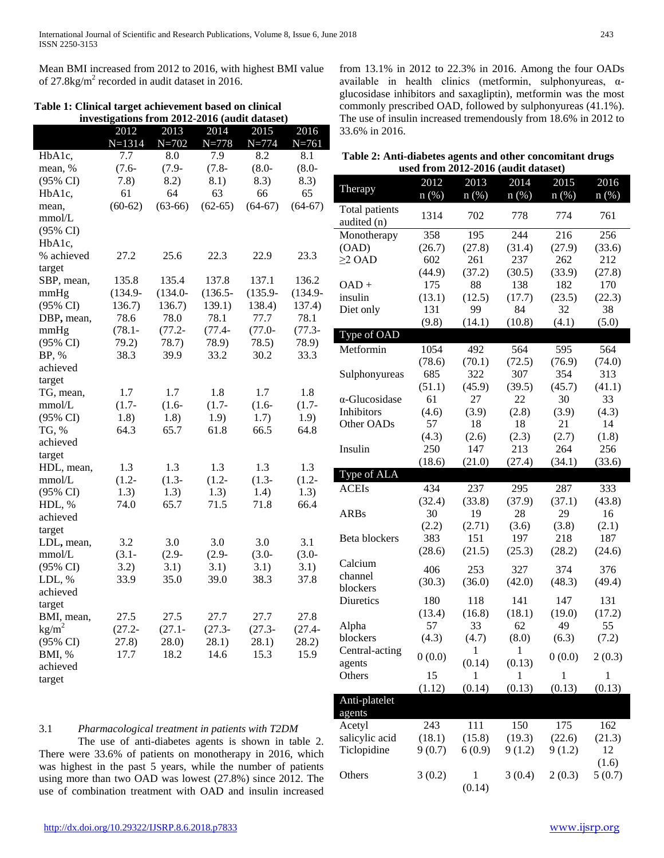Mean BMI increased from 2012 to 2016, with highest BMI value of  $27.8\text{kg/m}^2$  recorded in audit dataset in 2016.

|  |  | Table 1: Clinical target achievement based on clinical |
|--|--|--------------------------------------------------------|
|  |  | investigations from 2012 2016 (and t dataset)          |

**investigations from 2012-2016 (audit dataset)** 2012 N=1314 2013 N=702 2014 N=778 2015 N=774 2016 N=761 HbA1c, mean, % (95% CI) 7.7 (7.6- 7.8) 8.0 (7.9- 8.2) 7.9 (7.8- 8.1) 8.2 (8.0- 8.3) 8.1 (8.0- 8.3) HbA1c, mean, mmol/L (95% CI) 61  $(60-62)$ 64 (63-66) 63 (62-65) 66 (64-67) 65 (64-67) HbA1c, % achieved target 27.2 25.6 22.3 22.9 23.3 SBP, mean, mmHg (95% CI) 135.8 (134.9- 136.7) 135.4 (134.0- 136.7) 137.8 (136.5- 139.1) 137.1 (135.9- 138.4) 136.2 (134.9- 137.4) DBP**,** mean, mmHg (95% CI) 78.6 (78.1- 79.2) 78.0 (77.2- 78.7) 78.1 (77.4- 78.9) 77.7 (77.0- 78.5) 78.1 (77.3- 78.9) BP, % achieved target 38.3 39.9 33.2 30.2 33.3 TG, mean, mmol/L (95% CI) 1.7 (1.7- 1.8) 1.7 (1.6- 1.8) 1.8 (1.7- 1.9) 1.7 (1.6- 1.7) 1.8 (1.7- 1.9) TG, % achieved target 64.3 65.7 61.8 66.5 64.8 HDL, mean, mmol/L (95% CI) 1.3 (1.2- 1.3) 1.3 (1.3- 1.3) 1.3 (1.2- 1.3) 1.3 (1.3- 1.4) 1.3 (1.2- 1.3) HDL, % achieved target 74.0 65.7 71.5 71.8 66.4 LDL**,** mean, mmol/L (95% CI) 3.2 (3.1- 3.2) 3.0 (2.9- 3.1) 3.0 (2.9- 3.1) 3.0 (3.0- 3.1) 3.1 (3.0- 3.1) LDL, % achieved target 33.9 35.0 39.0 38.3 37.8 BMI, mean,  $kg/m<sup>2</sup>$ (95% CI) 27.5 (27.2- 27.8) 27.5 (27.1- 28.0) 27.7 (27.3- 28.1) 27.7 (27.3- 28.1) 27.8 (27.4- 28.2) BMI, % achieved target 17.7 18.2 14.6 15.3 15.9

from 13.1% in 2012 to 22.3% in 2016. Among the four OADs available in health clinics (metformin, sulphonyureas, αglucosidase inhibitors and saxagliptin), metformin was the most commonly prescribed OAD, followed by sulphonyureas (41.1%). The use of insulin increased tremendously from 18.6% in 2012 to 33.6% in 2016.

| Table 2: Anti-diabetes agents and other concomitant drugs |                                     |  |
|-----------------------------------------------------------|-------------------------------------|--|
|                                                           | used from 2012-2016 (audit dataset) |  |

| used from 2012-2016 (audit dataset) |             |              |              |              |             |  |  |  |
|-------------------------------------|-------------|--------------|--------------|--------------|-------------|--|--|--|
| Therapy                             | 2012        | 2013         | 2014         | 2015         | 2016        |  |  |  |
|                                     | $n(\%)$     | $n(\%)$      | $n(\%)$      | $n(\%)$      | $n$ (%)     |  |  |  |
| Total patients<br>audited (n)       | 1314        | 702          | 778          | 774          | 761         |  |  |  |
| Monotherapy                         | 358         | 195          | 244          | 216          | 256         |  |  |  |
| (OAD)                               | (26.7)      | (27.8)       | (31.4)       | (27.9)       | (33.6)      |  |  |  |
| $\geq$ OAD                          | 602         | 261          | 237          | 262          | 212         |  |  |  |
|                                     | (44.9)      | (37.2)       | (30.5)       | (33.9)       | (27.8)      |  |  |  |
| $OAD +$                             | 175         | 88           | 138          | 182          | 170         |  |  |  |
| insulin                             | (13.1)      | (12.5)       | (17.7)       | (23.5)       | (22.3)      |  |  |  |
| Diet only                           | 131         | 99           | 84           | 32           | 38          |  |  |  |
|                                     | (9.8)       | (14.1)       | (10.8)       | (4.1)        | (5.0)       |  |  |  |
| Type of OAD                         |             |              |              |              |             |  |  |  |
| Metformin                           | 1054        | 492          | 564          | 595          | 564         |  |  |  |
|                                     | (78.6)      | (70.1)       | (72.5)       | (76.9)       | (74.0)      |  |  |  |
| Sulphonyureas                       | 685         | 322          | 307          | 354          | 313         |  |  |  |
| $\alpha$ -Glucosidase               | (51.1)      | (45.9)       | (39.5)       | (45.7)       | (41.1)      |  |  |  |
| Inhibitors                          | 61<br>(4.6) | 27<br>(3.9)  | 22<br>(2.8)  | 30<br>(3.9)  | 33<br>(4.3) |  |  |  |
| Other OADs                          | 57          | 18           | 18           | 21           | 14          |  |  |  |
|                                     | (4.3)       | (2.6)        | (2.3)        | (2.7)        | (1.8)       |  |  |  |
| Insulin                             | 250         | 147          | 213          | 264          | 256         |  |  |  |
|                                     | (18.6)      | (21.0)       | (27.4)       | (34.1)       | (33.6)      |  |  |  |
| Type of ALA                         |             |              |              |              |             |  |  |  |
| <b>ACEIs</b>                        | 434         | 237          | 295          | 287          | 333         |  |  |  |
|                                     |             |              |              |              |             |  |  |  |
|                                     | (32.4)      | (33.8)       | (37.9)       |              | (43.8)      |  |  |  |
| <b>ARBs</b>                         | 30          | 19           | 28           | (37.1)<br>29 | 16          |  |  |  |
|                                     | (2.2)       | (2.71)       | (3.6)        | (3.8)        | (2.1)       |  |  |  |
| Beta blockers                       | 383         | 151          | 197          | 218          | 187         |  |  |  |
|                                     | (28.6)      | (21.5)       | (25.3)       | (28.2)       | (24.6)      |  |  |  |
| Calcium                             |             |              |              |              |             |  |  |  |
| channel                             | 406         | 253          | 327          | 374          | 376         |  |  |  |
| blockers                            | (30.3)      | (36.0)       | (42.0)       | (48.3)       | (49.4)      |  |  |  |
| Diuretics                           | 180         | 118          | 141          | 147          | 131         |  |  |  |
|                                     | (13.4)      | (16.8)       | (18.1)       | (19.0)       | (17.2)      |  |  |  |
| Alpha                               | 57          | 33           | 62           | 49           | 55          |  |  |  |
| blockers                            | (4.3)       | (4.7)        | (8.0)        | (6.3)        | (7.2)       |  |  |  |
| Central-acting                      | 0(0.0)      | $\mathbf{1}$ | $\mathbf{1}$ | 0(0.0)       | 2(0.3)      |  |  |  |
| agents                              |             | (0.14)       | (0.13)       |              |             |  |  |  |
| Others                              | 15          | 1            | $\mathbf{1}$ | 1            | 1           |  |  |  |
|                                     | (1.12)      | (0.14)       | (0.13)       | (0.13)       | (0.13)      |  |  |  |
| Anti-platelet<br>agents             |             |              |              |              |             |  |  |  |
| Acetyl                              | 243         | 111          | 150          | 175          | 162         |  |  |  |
| salicylic acid                      | (18.1)      | (15.8)       | (19.3)       | (22.6)       | (21.3)      |  |  |  |
| Ticlopidine                         | 9(0.7)      | 6(0.9)       | 9(1.2)       | 9(1.2)       | 12          |  |  |  |
|                                     |             |              |              |              | (1.6)       |  |  |  |
| Others                              | 3(0.2)      | 1<br>(0.14)  | 3(0.4)       | 2(0.3)       | 5(0.7)      |  |  |  |

The use of anti-diabetes agents is shown in table 2. There were 33.6% of patients on monotherapy in 2016, which was highest in the past 5 years, while the number of patients using more than two OAD was lowest (27.8%) since 2012. The use of combination treatment with OAD and insulin increased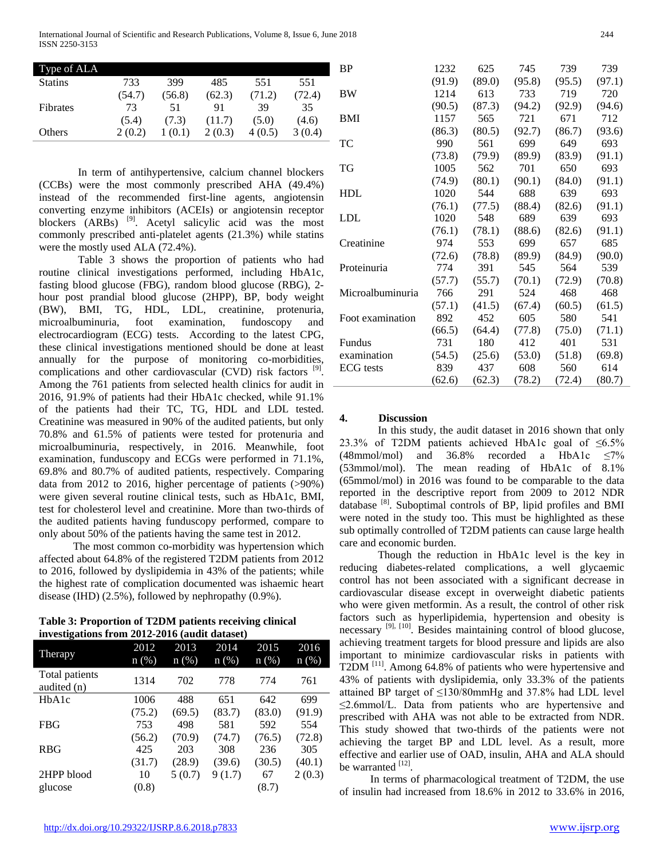International Journal of Scientific and Research Publications, Volume 8, Issue 6, June 2018 244 ISSN 2250-3153

| Type of ALA    |        |        |        |        |        | B |
|----------------|--------|--------|--------|--------|--------|---|
| <b>Statins</b> | 733    | 399    | 485    | 551    | 551    |   |
|                | (54.7) | (56.8) | (62.3) | (71.2) | (72.4) | В |
| Fibrates       | 73     | 51     | 91     | 39     | 35     |   |
|                | (5.4)  | (7.3)  | (11.7) | (5.0)  | (4.6)  | B |
| Others         | 2(0.2) | 1(0.1) | 2(0.3) | 4(0.5) | 3(0.4) |   |
|                |        |        |        |        |        |   |

In term of antihypertensive, calcium channel blockers (CCBs) were the most commonly prescribed AHA (49.4%) instead of the recommended first-line agents, angiotensin converting enzyme inhibitors (ACEIs) or angiotensin receptor blockers (ARBs)<sup>[9]</sup>. Acetyl salicylic acid was the most commonly prescribed anti-platelet agents (21.3%) while statins were the mostly used ALA (72.4%).

Table 3 shows the proportion of patients who had routine clinical investigations performed, including HbA1c, fasting blood glucose (FBG), random blood glucose (RBG), 2 hour post prandial blood glucose (2HPP), BP, body weight (BW), BMI, TG, HDL, LDL, creatinine, protenuria, microalbuminuria, foot examination, fundoscopy and electrocardiogram (ECG) tests. According to the latest CPG, these clinical investigations mentioned should be done at least annually for the purpose of monitoring co-morbidities, complications and other cardiovascular (CVD) risk factors  $[9]$ . Among the 761 patients from selected health clinics for audit in 2016, 91.9% of patients had their HbA1c checked, while 91.1% of the patients had their TC, TG, HDL and LDL tested. Creatinine was measured in 90% of the audited patients, but only 70.8% and 61.5% of patients were tested for protenuria and microalbuminuria, respectively, in 2016. Meanwhile, foot examination, funduscopy and ECGs were performed in 71.1%, 69.8% and 80.7% of audited patients, respectively. Comparing data from 2012 to 2016, higher percentage of patients (>90%) were given several routine clinical tests, such as HbA1c, BMI, test for cholesterol level and creatinine. More than two-thirds of the audited patients having funduscopy performed, compare to only about 50% of the patients having the same test in 2012.

The most common co-morbidity was hypertension which affected about 64.8% of the registered T2DM patients from 2012 to 2016, followed by dyslipidemia in 43% of the patients; while the highest rate of complication documented was ishaemic heart disease (IHD) (2.5%), followed by nephropathy (0.9%).

**Table 3: Proportion of T2DM patients receiving clinical investigations from 2012-2016 (audit dataset)**

| o                             |                 |                 |                 |                 |                 |
|-------------------------------|-----------------|-----------------|-----------------|-----------------|-----------------|
| Therapy                       | 2012<br>$n$ (%) | 2013<br>$n(\%)$ | 2014<br>$n$ (%) | 2015<br>$n(\%)$ | 2016<br>$n(\%)$ |
| Total patients<br>audited (n) | 1314            | 702             | 778             | 774             | 761             |
| HbA1c                         | 1006            | 488             | 651             | 642             | 699             |
|                               | (75.2)          | (69.5)          | (83.7)          | (83.0)          | (91.9)          |
| <b>FBG</b>                    | 753             | 498             | 581             | 592             | 554             |
|                               | (56.2)          | (70.9)          | (74.7)          | (76.5)          | (72.8)          |
| <b>RBG</b>                    | 425             | 203             | 308             | 236             | 305             |
|                               | (31.7)          | (28.9)          | (39.6)          | (30.5)          | (40.1)          |
| 2HPP blood                    | 10              | 5(0.7)          | 9(1.7)          | 67              | 2(0.3)          |
| glucose                       | (0.8)           |                 |                 | (8.7)           |                 |

| ΒP               | 1232   | 625    | 745    | 739    | 739    |
|------------------|--------|--------|--------|--------|--------|
|                  | (91.9) | (89.0) | (95.8) | (95.5) | (97.1) |
| BW               | 1214   | 613    | 733    | 719    | 720    |
|                  | (90.5) | (87.3) | (94.2) | (92.9) | (94.6) |
| BMI              | 1157   | 565    | 721    | 671    | 712    |
|                  | (86.3) | (80.5) | (92.7) | (86.7) | (93.6) |
| TC               | 990    | 561    | 699    | 649    | 693    |
|                  | (73.8) | (79.9) | (89.9) | (83.9) | (91.1) |
| TG               | 1005   | 562    | 701    | 650    | 693    |
|                  | (74.9) | (80.1) | (90.1) | (84.0) | (91.1) |
| HDL              | 1020   | 544    | 688    | 639    | 693    |
|                  | (76.1) | (77.5) | (88.4) | (82.6) | (91.1) |
| LDL              | 1020   | 548    | 689    | 639    | 693    |
|                  | (76.1) | (78.1) | (88.6) | (82.6) | (91.1) |
| Creatinine       | 974    | 553    | 699    | 657    | 685    |
|                  | (72.6) | (78.8) | (89.9) | (84.9) | (90.0) |
| Proteinuria      | 774    | 391    | 545    | 564    | 539    |
|                  | (57.7) | (55.7) | (70.1) | (72.9) | (70.8) |
| Microalbuminuria | 766    | 291    | 524    | 468    | 468    |
|                  | (57.1) | (41.5) | (67.4) | (60.5) | (61.5) |
| Foot examination | 892    | 452    | 605    | 580    | 541    |
|                  | (66.5) | (64.4) | (77.8) | (75.0) | (71.1) |
| Fundus           | 731    | 180    | 412    | 401    | 531    |
| examination      | (54.5) | (25.6) | (53.0) | (51.8) | (69.8) |
| ECG tests        | 839    | 437    | 608    | 560    | 614    |
|                  | (62.6) | (62.3) | (78.2) | (72.4) | (80.7) |

#### **4. Discussion**

In this study, the audit dataset in 2016 shown that only 23.3% of T2DM patients achieved HbA1c goal of  $\leq 6.5\%$ (48mmol/mol) and 36.8% recorded a HbA1c  $\leq$ 7% (53mmol/mol). The mean reading of HbA1c of 8.1% (65mmol/mol) in 2016 was found to be comparable to the data reported in the descriptive report from 2009 to 2012 NDR database <sup>[8]</sup>. Suboptimal controls of BP, lipid profiles and BMI were noted in the study too. This must be highlighted as these sub optimally controlled of T2DM patients can cause large health care and economic burden.

Though the reduction in HbA1c level is the key in reducing diabetes-related complications, a well glycaemic control has not been associated with a significant decrease in cardiovascular disease except in overweight diabetic patients who were given metformin. As a result, the control of other risk factors such as hyperlipidemia, hypertension and obesity is necessary <sup>[9], [10]</sup>. Besides maintaining control of blood glucose, achieving treatment targets for blood pressure and lipids are also important to minimize cardiovascular risks in patients with T2DM [11]. Among 64.8% of patients who were hypertensive and 43% of patients with dyslipidemia, only 33.3% of the patients attained BP target of ≤130/80mmHg and 37.8% had LDL level ≤2.6mmol/L. Data from patients who are hypertensive and prescribed with AHA was not able to be extracted from NDR. This study showed that two-thirds of the patients were not achieving the target BP and LDL level. As a result, more effective and earlier use of OAD, insulin, AHA and ALA should be warranted [12].

In terms of pharmacological treatment of T2DM, the use of insulin had increased from 18.6% in 2012 to 33.6% in 2016,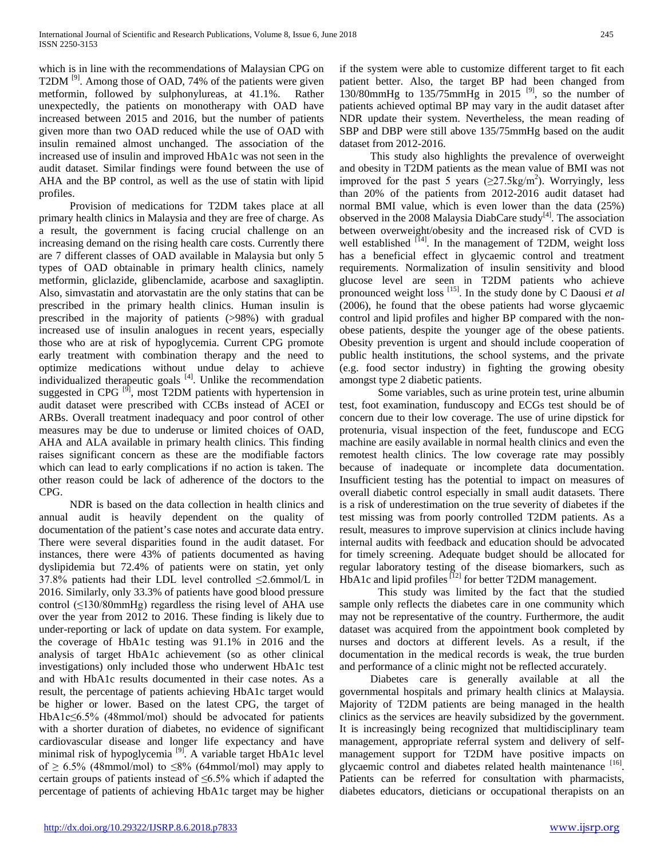which is in line with the recommendations of Malaysian CPG on T2DM<sup>[9]</sup>. Among those of OAD, 74% of the patients were given metformin, followed by sulphonylureas, at 41.1%. Rather unexpectedly, the patients on monotherapy with OAD have increased between 2015 and 2016, but the number of patients given more than two OAD reduced while the use of OAD with insulin remained almost unchanged. The association of the increased use of insulin and improved HbA1c was not seen in the audit dataset. Similar findings were found between the use of AHA and the BP control, as well as the use of statin with lipid profiles.

Provision of medications for T2DM takes place at all primary health clinics in Malaysia and they are free of charge. As a result, the government is facing crucial challenge on an increasing demand on the rising health care costs. Currently there are 7 different classes of OAD available in Malaysia but only 5 types of OAD obtainable in primary health clinics, namely metformin, gliclazide, glibenclamide, acarbose and saxagliptin. Also, simvastatin and atorvastatin are the only statins that can be prescribed in the primary health clinics. Human insulin is prescribed in the majority of patients (>98%) with gradual increased use of insulin analogues in recent years, especially those who are at risk of hypoglycemia. Current CPG promote early treatment with combination therapy and the need to optimize medications without undue delay to achieve individualized therapeutic goals [4]. Unlike the recommendation suggested in CPG  $[9]$ , most T2DM patients with hypertension in audit dataset were prescribed with CCBs instead of ACEI or ARBs. Overall treatment inadequacy and poor control of other measures may be due to underuse or limited choices of OAD, AHA and ALA available in primary health clinics. This finding raises significant concern as these are the modifiable factors which can lead to early complications if no action is taken. The other reason could be lack of adherence of the doctors to the CPG.

NDR is based on the data collection in health clinics and annual audit is heavily dependent on the quality of documentation of the patient's case notes and accurate data entry. There were several disparities found in the audit dataset. For instances, there were 43% of patients documented as having dyslipidemia but 72.4% of patients were on statin, yet only 37.8% patients had their LDL level controlled ≤2.6mmol/L in 2016. Similarly, only 33.3% of patients have good blood pressure control (≤130/80mmHg) regardless the rising level of AHA use over the year from 2012 to 2016. These finding is likely due to under-reporting or lack of update on data system. For example, the coverage of HbA1c testing was 91.1% in 2016 and the analysis of target HbA1c achievement (so as other clinical investigations) only included those who underwent HbA1c test and with HbA1c results documented in their case notes. As a result, the percentage of patients achieving HbA1c target would be higher or lower. Based on the latest CPG, the target of HbA1c≤6.5% (48mmol/mol) should be advocated for patients with a shorter duration of diabetes, no evidence of significant cardiovascular disease and longer life expectancy and have minimal risk of hypoglycemia<sup>[9]</sup>. A variable target HbA1c level of  $\geq$  6.5% (48mmol/mol) to  $\leq$ 8% (64mmol/mol) may apply to certain groups of patients instead of ≤6.5% which if adapted the percentage of patients of achieving HbA1c target may be higher if the system were able to customize different target to fit each patient better. Also, the target BP had been changed from 130/80mmHg to  $135/75$ mmHg in 2015<sup>[9]</sup>, so the number of patients achieved optimal BP may vary in the audit dataset after NDR update their system. Nevertheless, the mean reading of SBP and DBP were still above 135/75mmHg based on the audit dataset from 2012-2016.

This study also highlights the prevalence of overweight and obesity in T2DM patients as the mean value of BMI was not improved for the past 5 years  $(\geq 27.5 \text{kg/m}^2)$ . Worryingly, less than 20% of the patients from 2012-2016 audit dataset had normal BMI value, which is even lower than the data (25%) observed in the 2008 Malaysia DiabCare study<sup>[4]</sup>. The association between overweight/obesity and the increased risk of CVD is well established  $[14]$ . In the management of T2DM, weight loss has a beneficial effect in glycaemic control and treatment requirements. Normalization of insulin sensitivity and blood glucose level are seen in T2DM patients who achieve pronounced weight loss [15]. In the study done by C Daousi *et al*  (2006), he found that the obese patients had worse glycaemic control and lipid profiles and higher BP compared with the nonobese patients, despite the younger age of the obese patients. Obesity prevention is urgent and should include cooperation of public health institutions, the school systems, and the private (e.g. food sector industry) in fighting the growing obesity amongst type 2 diabetic patients.

Some variables, such as urine protein test, urine albumin test, foot examination, funduscopy and ECGs test should be of concern due to their low coverage. The use of urine dipstick for protenuria, visual inspection of the feet, funduscope and ECG machine are easily available in normal health clinics and even the remotest health clinics. The low coverage rate may possibly because of inadequate or incomplete data documentation. Insufficient testing has the potential to impact on measures of overall diabetic control especially in small audit datasets. There is a risk of underestimation on the true severity of diabetes if the test missing was from poorly controlled T2DM patients. As a result, measures to improve supervision at clinics include having internal audits with feedback and education should be advocated for timely screening. Adequate budget should be allocated for regular laboratory testing of the disease biomarkers, such as HbA1c and lipid profiles  $^{[12]}$  for better T2DM management.

This study was limited by the fact that the studied sample only reflects the diabetes care in one community which may not be representative of the country. Furthermore, the audit dataset was acquired from the appointment book completed by nurses and doctors at different levels. As a result, if the documentation in the medical records is weak, the true burden and performance of a clinic might not be reflected accurately.

Diabetes care is generally available at all the governmental hospitals and primary health clinics at Malaysia. Majority of T2DM patients are being managed in the health clinics as the services are heavily subsidized by the government. It is increasingly being recognized that multidisciplinary team management, appropriate referral system and delivery of selfmanagement support for T2DM have positive impacts on glycaemic control and diabetes related health maintenance [16]. Patients can be referred for consultation with pharmacists, diabetes educators, dieticians or occupational therapists on an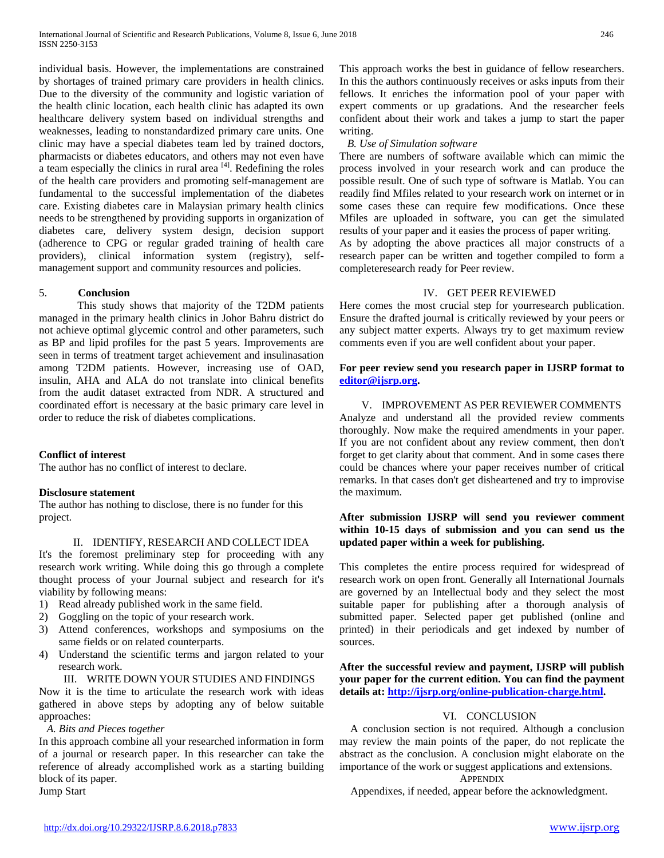individual basis. However, the implementations are constrained by shortages of trained primary care providers in health clinics. Due to the diversity of the community and logistic variation of the health clinic location, each health clinic has adapted its own healthcare delivery system based on individual strengths and weaknesses, leading to nonstandardized primary care units. One clinic may have a special diabetes team led by trained doctors, pharmacists or diabetes educators, and others may not even have  $\alpha$  team especially the clinics in rural area  $^{[4]}$ . Redefining the roles of the health care providers and promoting self-management are fundamental to the successful implementation of the diabetes care. Existing diabetes care in Malaysian primary health clinics needs to be strengthened by providing supports in organization of diabetes care, delivery system design, decision support (adherence to CPG or regular graded training of health care providers), clinical information system (registry), selfmanagement support and community resources and policies.

#### 5. **Conclusion**

This study shows that majority of the T2DM patients managed in the primary health clinics in Johor Bahru district do not achieve optimal glycemic control and other parameters, such as BP and lipid profiles for the past 5 years. Improvements are seen in terms of treatment target achievement and insulinasation among T2DM patients. However, increasing use of OAD, insulin, AHA and ALA do not translate into clinical benefits from the audit dataset extracted from NDR. A structured and coordinated effort is necessary at the basic primary care level in order to reduce the risk of diabetes complications.

# **Conflict of interest**

The author has no conflict of interest to declare.

#### **Disclosure statement**

The author has nothing to disclose, there is no funder for this project.

#### II. IDENTIFY, RESEARCH AND COLLECT IDEA

It's the foremost preliminary step for proceeding with any research work writing. While doing this go through a complete thought process of your Journal subject and research for it's viability by following means:

- 1) Read already published work in the same field.
- 2) Goggling on the topic of your research work.
- 3) Attend conferences, workshops and symposiums on the same fields or on related counterparts.
- 4) Understand the scientific terms and jargon related to your research work.

## III. WRITE DOWN YOUR STUDIES AND FINDINGS

Now it is the time to articulate the research work with ideas gathered in above steps by adopting any of below suitable approaches:

#### *A. Bits and Pieces together*

In this approach combine all your researched information in form of a journal or research paper. In this researcher can take the reference of already accomplished work as a starting building block of its paper.

Jump Start

This approach works the best in guidance of fellow researchers. In this the authors continuously receives or asks inputs from their fellows. It enriches the information pool of your paper with expert comments or up gradations. And the researcher feels confident about their work and takes a jump to start the paper writing.

## *B. Use of Simulation software*

There are numbers of software available which can mimic the process involved in your research work and can produce the possible result. One of such type of software is Matlab. You can readily find Mfiles related to your research work on internet or in some cases these can require few modifications. Once these Mfiles are uploaded in software, you can get the simulated results of your paper and it easies the process of paper writing.

As by adopting the above practices all major constructs of a research paper can be written and together compiled to form a completeresearch ready for Peer review.

## IV. GET PEER REVIEWED

Here comes the most crucial step for yourresearch publication. Ensure the drafted journal is critically reviewed by your peers or any subject matter experts. Always try to get maximum review comments even if you are well confident about your paper.

## **For peer review send you research paper in IJSRP format to [editor@ijsrp.org.](mailto:editor@ijsrp.org)**

V. IMPROVEMENT AS PER REVIEWER COMMENTS Analyze and understand all the provided review comments thoroughly. Now make the required amendments in your paper. If you are not confident about any review comment, then don't forget to get clarity about that comment. And in some cases there could be chances where your paper receives number of critical remarks. In that cases don't get disheartened and try to improvise the maximum.

## **After submission IJSRP will send you reviewer comment within 10-15 days of submission and you can send us the updated paper within a week for publishing.**

This completes the entire process required for widespread of research work on open front. Generally all International Journals are governed by an Intellectual body and they select the most suitable paper for publishing after a thorough analysis of submitted paper. Selected paper get published (online and printed) in their periodicals and get indexed by number of sources.

**After the successful review and payment, IJSRP will publish your paper for the current edition. You can find the payment details at[: http://ijsrp.org/online-publication-charge.html.](http://ijsrp.org/online-publication-charge.html)**

## VI. CONCLUSION

A conclusion section is not required. Although a conclusion may review the main points of the paper, do not replicate the abstract as the conclusion. A conclusion might elaborate on the importance of the work or suggest applications and extensions.

#### **APPENDIX**

Appendixes, if needed, appear before the acknowledgment.